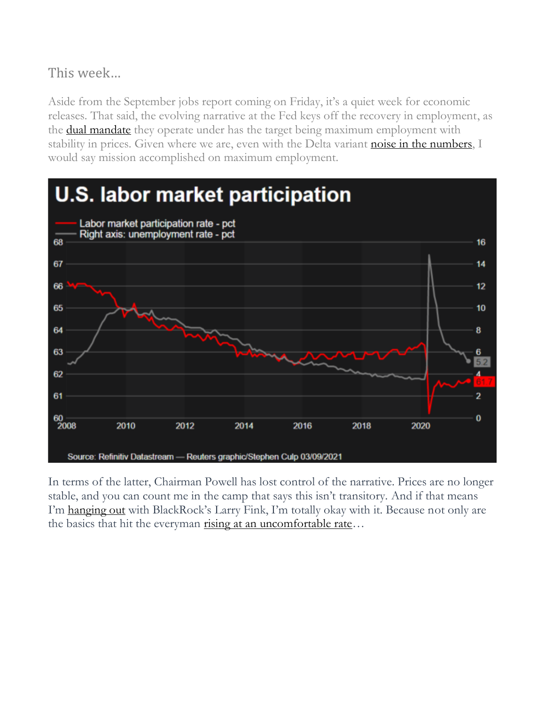## This week…

Aside from the September jobs report coming on Friday, it's a quiet week for economic releases. That said, the evolving narrative at the Fed keys off the recovery in employment, as the **dual mandate** they operate under has the target being maximum employment with stability in prices. Given where we are, even with the Delta variant [noise in the numbers,](https://www.cnn.com/2021/09/03/economy/august-jobs-report/index.html) I would say mission accomplished on maximum employment.



In terms of the latter, Chairman Powell has lost control of the narrative. Prices are no longer stable, and you can count me in the camp that says this isn't transitory. And if that means I'm [hanging out](https://www.reuters.com/business/finance/blackrock-ceo-fink-does-not-see-inflation-transitory-2021-07-14/) with BlackRock's Larry Fink, I'm totally okay with it. Because not only are the basics that hit the everyman [rising at an uncomfortable rate](https://www.cnn.com/2021/05/09/investing/stocks-week-ahead/index.html)...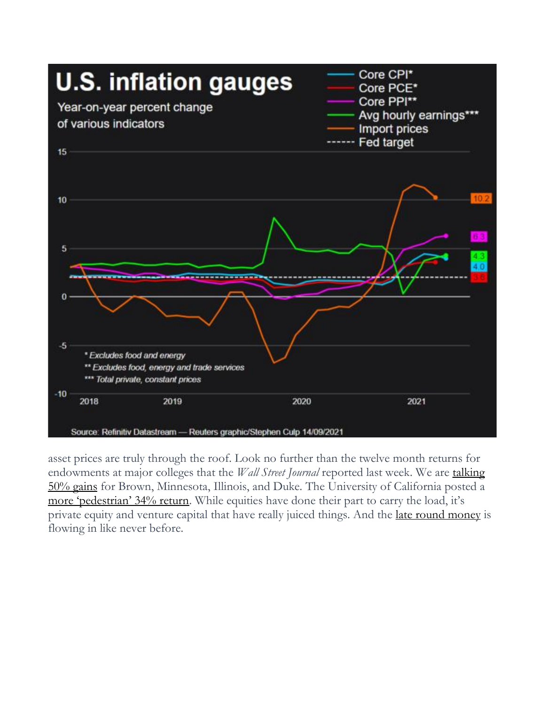

asset prices are truly through the roof. Look no further than the twelve month returns for endowments at major colleges that the *Wall Street Journal* reported last week. We are [talking](https://www.wsj.com/articles/university-endowments-mint-billions-in-golden-era-of-venture-capital-11632907802)  [50% gains](https://www.wsj.com/articles/university-endowments-mint-billions-in-golden-era-of-venture-capital-11632907802) for Brown, Minnesota, Illinois, and Duke. The University of California posted a [more 'pedestrian' 34% return.](https://www.pionline.com/endowments-and-foundations/university-california-endowment-returns-nearly-34) While equities have done their part to carry the load, it's private equity and venture capital that have really juiced things. And the [late round money](https://dealroom.co/blog/global-venture-capital-is-crushing-records-in-h1-2021) is flowing in like never before.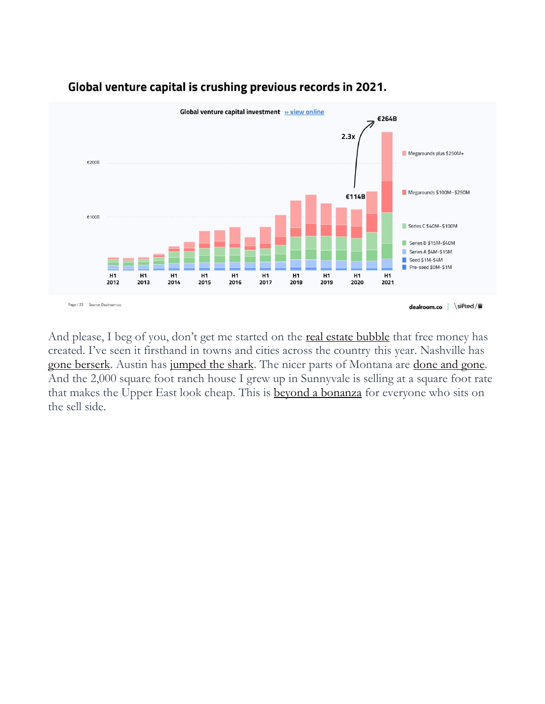

## Global venture capital is crushing previous records in 2021.

And please, I beg of you, don't get me started on the **[real estate bubble](https://www.nytimes.com/2021/10/01/business/stock-bond-real-estate-prices.html)** that free money has created. I've seen it firsthand in towns and cities across the country this year. Nashville has [gone berserk.](https://www.nashvillescene.com/news/citylimits/nashville-s-bonkers-housing-market/article_9fee1dac-de6d-11eb-8292-635c1f0585b7.html) Austin has [jumped the shark.](https://www.kvue.com/article/money/economy/boomtown-2040/austin-housing-market-overvalued-prices-study/269-4620eadf-15cb-47b2-8548-d27dbc8782b9) The nicer parts of Montana are [done and gone.](https://www.wsj.com/articles/bozeman-real-estate-market-news-11627568896) And the 2,000 square foot ranch house I grew up in Sunnyvale is selling at a square foot rate that makes the Upper East look cheap. This is [beyond a bonanza](https://www.siliconvalley.com/2021/08/26/bubble-watch-california-homebuying-affordability-near-pre-crash-lows/) for everyone who sits on the sell side.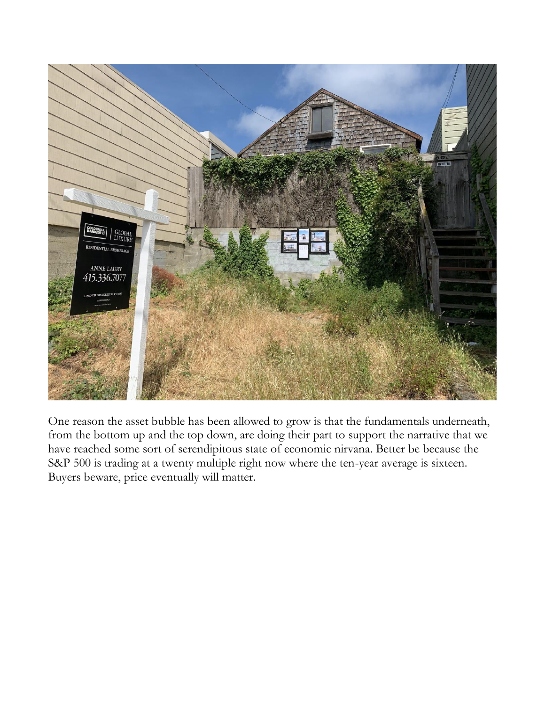

One reason the asset bubble has been allowed to grow is that the fundamentals underneath, from the bottom up and the top down, are doing their part to support the narrative that we have reached some sort of serendipitous state of economic nirvana. Better be because the S&P 500 is trading at a twenty multiple right now where the ten-year average is sixteen. Buyers beware, price eventually will matter.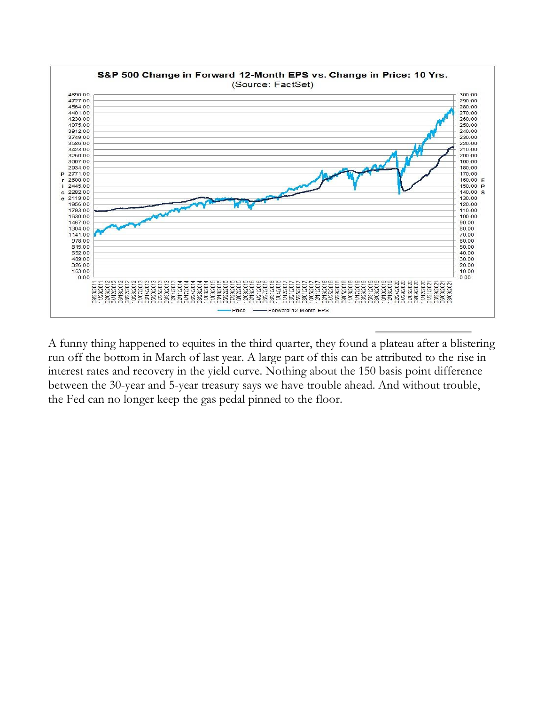

A funny thing happened to equites in the third quarter, they found a plateau after a blistering run off the bottom in March of last year. A large part of this can be attributed to the rise in interest rates and recovery in the yield curve. Nothing about the 150 basis point difference between the 30-year and 5-year treasury says we have trouble ahead. And without trouble, the Fed can no longer keep the gas pedal pinned to the floor.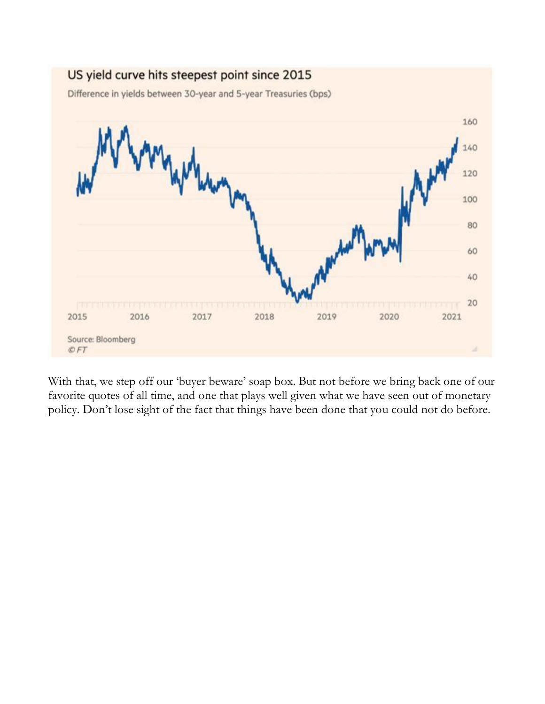

With that, we step off our 'buyer beware' soap box. But not before we bring back one of our favorite quotes of all time, and one that plays well given what we have seen out of monetary policy. Don't lose sight of the fact that things have been done that you could not do before.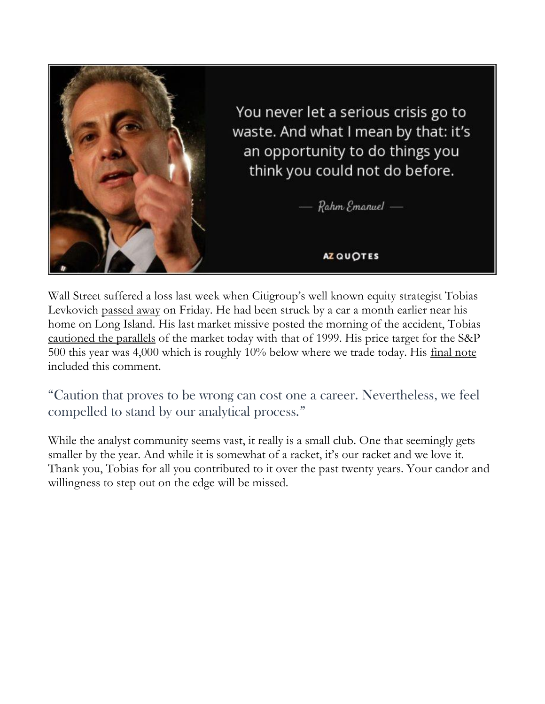

Wall Street suffered a loss last week when Citigroup's well known equity strategist Tobias Levkovich [passed away](https://www.forexlive.com/news/!/citi-equity-strategist-tobias-levkovich-dies-after-being-hit-by-a-car-20211002) on Friday. He had been struck by a car a month earlier near his home on Long Island. His last market missive posted the morning of the accident, Tobias [cautioned the parallels](https://www.youtube.com/watch?v=i5RCMH72tQ0) of the market today with that of 1999. His price target for the S&P 500 this year was 4,000 which is roughly 10% below where we trade today. His [final note](https://www.yahoo.com/now/citi-strategist-warns-10-september-164500107.html) included this comment.

"Caution that proves to be wrong can cost one a career. Nevertheless, we feel compelled to stand by our analytical process."

While the analyst community seems vast, it really is a small club. One that seemingly gets smaller by the year. And while it is somewhat of a racket, it's our racket and we love it. Thank you, Tobias for all you contributed to it over the past twenty years. Your candor and willingness to step out on the edge will be missed.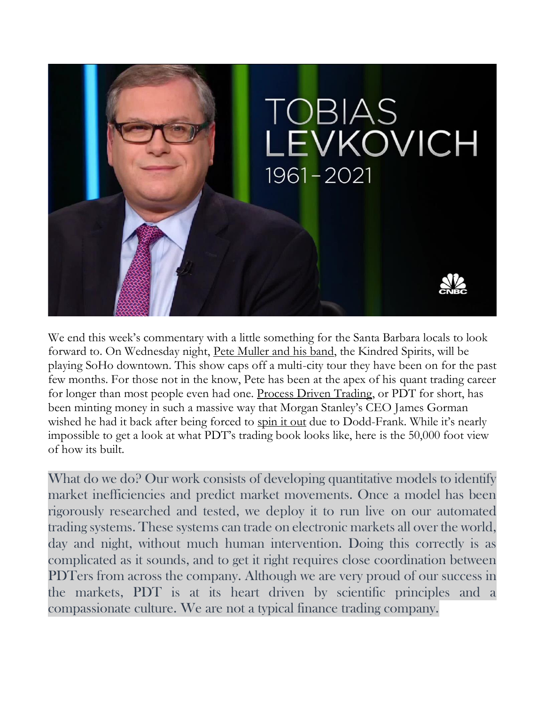

We end this week's commentary with a little something for the Santa Barbara locals to look forward to. On Wednesday night, [Pete Muller and his band,](https://www.petemuller.com/) the Kindred Spirits, will be playing SoHo downtown. This show caps off a multi-city tour they have been on for the past few months. For those not in the know, Pete has been at the apex of his quant trading career for longer than most people even had one. [Process Driven Trading,](https://pdtpartners.com/) or PDT for short, has been minting money in such a massive way that Morgan Stanley's CEO James Gorman wished he had it back after being forced to spin [it out](https://www.washingtonpost.com/business/trader-is-ready-to-go-it-alone/2011/07/10/gIQARNCUVI_story.html) due to Dodd-Frank. While it's nearly impossible to get a look at what PDT's trading book looks like, here is the 50,000 foot view of how its built.

What do we do? Our work consists of developing quantitative models to identify market inefficiencies and predict market movements. Once a model has been rigorously researched and tested, we deploy it to run live on our automated trading systems. These systems can trade on electronic markets all over the world, day and night, without much human intervention. Doing this correctly is as complicated as it sounds, and to get it right requires close coordination between PDTers from across the company. Although we are very proud of our success in the markets, PDT is at its heart driven by scientific principles and a compassionate culture. We are not a typical finance trading company.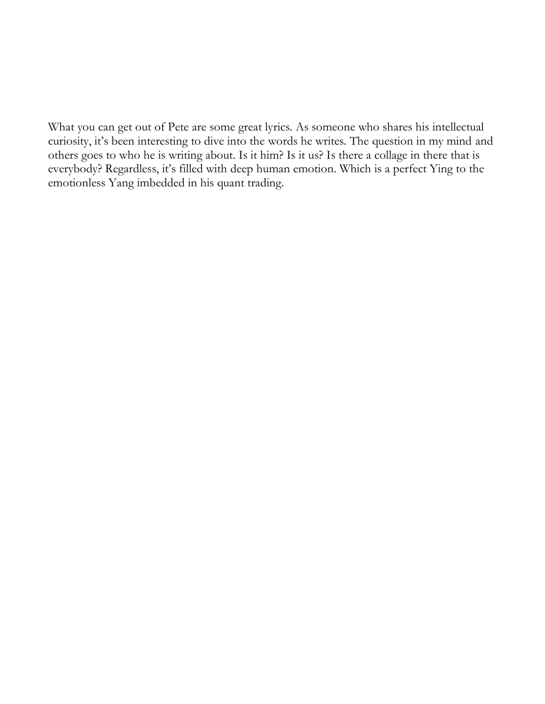What you can get out of Pete are some great lyrics. As someone who shares his intellectual curiosity, it's been interesting to dive into the words he writes. The question in my mind and others goes to who he is writing about. Is it him? Is it us? Is there a collage in there that is everybody? Regardless, it's filled with deep human emotion. Which is a perfect Ying to the emotionless Yang imbedded in his quant trading.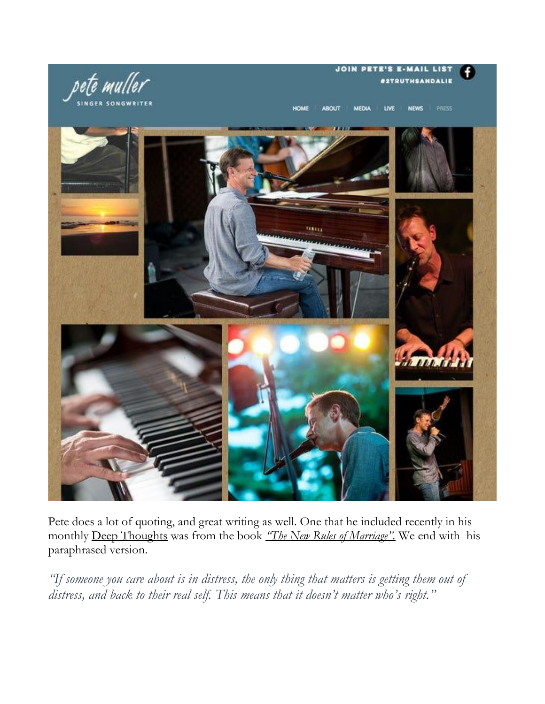## **JOIN PETE'S E-MAIL LIST STRUTHSANDALIE**



HOME **ABOUT MEDIA** LIVE **NEWS** 



Pete does a lot of quoting, and great writing as well. One that he included recently in his monthly [Deep Thoughts](https://mailchi.mp/petemuller.com/september21-newsletter) was from the book *["The New Rules of Marriage".](https://www.youtube.com/watch?v=URQ0OLoXaes)* We end with his paraphrased version.

*"If someone you care about is in distress, the only thing that matters is getting them out of distress, and back to their real self. This means that it doesn't matter who's right."*